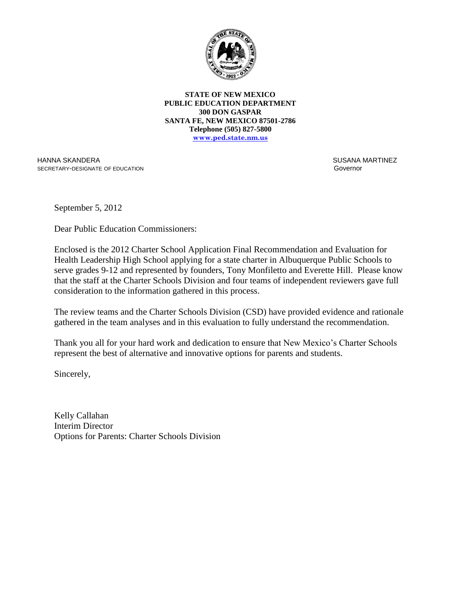

**STATE OF NEW MEXICO PUBLIC EDUCATION DEPARTMENT 300 DON GASPAR SANTA FE, NEW MEXICO 87501-2786 Telephone (505) 827-5800 www.ped.state.nm.us**

HANNA SKANDERA SECRETARY-DESIGNATE OF EDUCATION  SUSANA MARTINEZ Governor

September 5, 2012

Dear Public Education Commissioners:

Enclosed is the 2012 Charter School Application Final Recommendation and Evaluation for Health Leadership High School applying for a state charter in Albuquerque Public Schools to serve grades 9-12 and represented by founders, Tony Monfiletto and Everette Hill. Please know that the staff at the Charter Schools Division and four teams of independent reviewers gave full consideration to the information gathered in this process.

The review teams and the Charter Schools Division (CSD) have provided evidence and rationale gathered in the team analyses and in this evaluation to fully understand the recommendation.

Thank you all for your hard work and dedication to ensure that New Mexico's Charter Schools represent the best of alternative and innovative options for parents and students.

Sincerely,

Kelly Callahan Interim Director Options for Parents: Charter Schools Division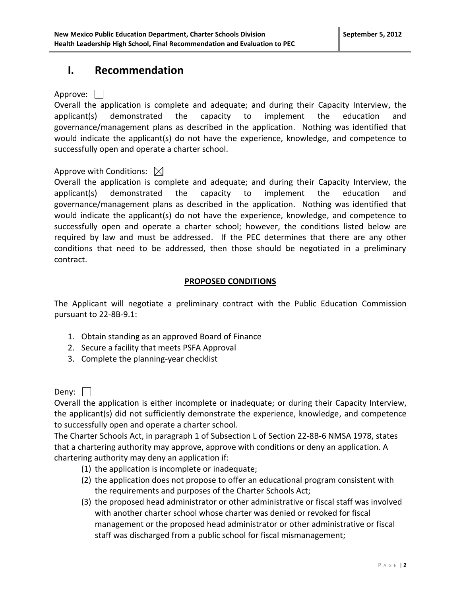### **I. Recommendation**

Approve: | |

Overall the application is complete and adequate; and during their Capacity Interview, the applicant(s) demonstrated the capacity to implement the education and governance/management plans as described in the application. Nothing was identified that would indicate the applicant(s) do not have the experience, knowledge, and competence to successfully open and operate a charter school.

### Approve with Conditions:  $\boxtimes$

Overall the application is complete and adequate; and during their Capacity Interview, the applicant(s) demonstrated the capacity to implement the education and governance/management plans as described in the application. Nothing was identified that would indicate the applicant(s) do not have the experience, knowledge, and competence to successfully open and operate a charter school; however, the conditions listed below are required by law and must be addressed. If the PEC determines that there are any other conditions that need to be addressed, then those should be negotiated in a preliminary contract.

#### **PROPOSED CONDITIONS**

The Applicant will negotiate a preliminary contract with the Public Education Commission pursuant to 22-8B-9.1:

- 1. Obtain standing as an approved Board of Finance
- 2. Secure a facility that meets PSFA Approval
- 3. Complete the planning-year checklist

Deny:  $\Box$ 

Overall the application is either incomplete or inadequate; or during their Capacity Interview, the applicant(s) did not sufficiently demonstrate the experience, knowledge, and competence to successfully open and operate a charter school.

The Charter Schools Act, in paragraph 1 of Subsection L of Section 22-8B-6 NMSA 1978, states that a chartering authority may approve, approve with conditions or deny an application. A chartering authority may deny an application if:

- (1) the application is incomplete or inadequate;
- (2) the application does not propose to offer an educational program consistent with the requirements and purposes of the Charter Schools Act;
- (3) the proposed head administrator or other administrative or fiscal staff was involved with another charter school whose charter was denied or revoked for fiscal management or the proposed head administrator or other administrative or fiscal staff was discharged from a public school for fiscal mismanagement;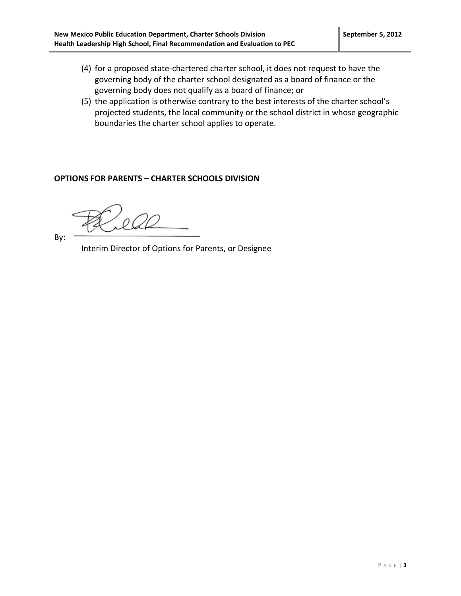- (4) for a proposed state-chartered charter school, it does not request to have the governing body of the charter school designated as a board of finance or the governing body does not qualify as a board of finance; or
- (5) the application is otherwise contrary to the best interests of the charter school's projected students, the local community or the school district in whose geographic boundaries the charter school applies to operate.

#### **OPTIONS FOR PARENTS – CHARTER SCHOOLS DIVISION**

By:

Interim Director of Options for Parents, or Designee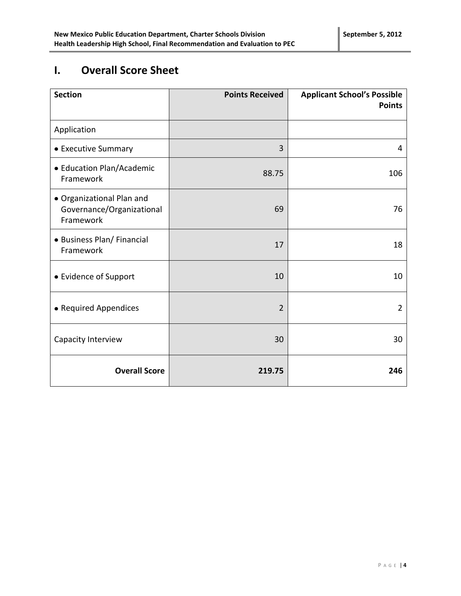# **I. Overall Score Sheet**

| <b>Section</b>                                                      | <b>Points Received</b> | <b>Applicant School's Possible</b><br><b>Points</b> |
|---------------------------------------------------------------------|------------------------|-----------------------------------------------------|
| Application                                                         |                        |                                                     |
| • Executive Summary                                                 | 3                      | 4                                                   |
| • Education Plan/Academic<br>Framework                              | 88.75                  | 106                                                 |
| · Organizational Plan and<br>Governance/Organizational<br>Framework | 69                     | 76                                                  |
| • Business Plan/ Financial<br>Framework                             | 17                     | 18                                                  |
| • Evidence of Support                                               | 10                     | 10                                                  |
| • Required Appendices                                               | $\overline{2}$         | $\overline{2}$                                      |
| Capacity Interview                                                  | 30                     | 30                                                  |
| <b>Overall Score</b>                                                | 219.75                 | 246                                                 |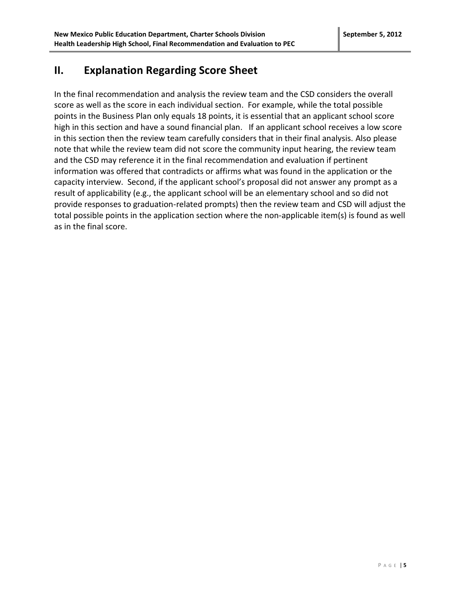## **II. Explanation Regarding Score Sheet**

In the final recommendation and analysis the review team and the CSD considers the overall score as well as the score in each individual section. For example, while the total possible points in the Business Plan only equals 18 points, it is essential that an applicant school score high in this section and have a sound financial plan. If an applicant school receives a low score in this section then the review team carefully considers that in their final analysis. Also please note that while the review team did not score the community input hearing, the review team and the CSD may reference it in the final recommendation and evaluation if pertinent information was offered that contradicts or affirms what was found in the application or the capacity interview. Second, if the applicant school's proposal did not answer any prompt as a result of applicability (e.g., the applicant school will be an elementary school and so did not provide responses to graduation-related prompts) then the review team and CSD will adjust the total possible points in the application section where the non-applicable item(s) is found as well as in the final score.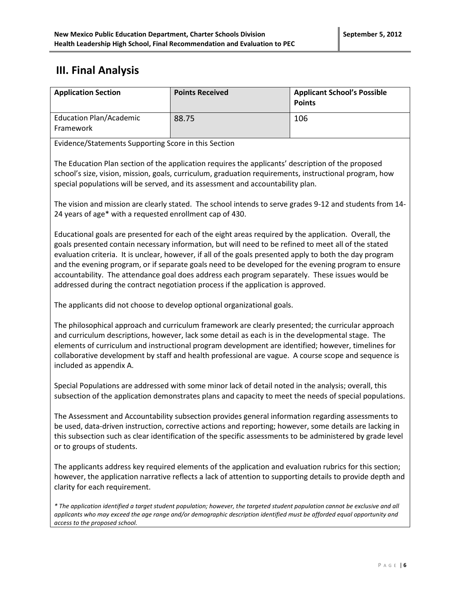### **III. Final Analysis**

| <b>Application Section</b>                  | <b>Points Received</b> | <b>Applicant School's Possible</b><br><b>Points</b> |
|---------------------------------------------|------------------------|-----------------------------------------------------|
| <b>Education Plan/Academic</b><br>Framework | 88.75                  | 106                                                 |

Evidence/Statements Supporting Score in this Section

The Education Plan section of the application requires the applicants' description of the proposed school's size, vision, mission, goals, curriculum, graduation requirements, instructional program, how special populations will be served, and its assessment and accountability plan.

The vision and mission are clearly stated. The school intends to serve grades 9-12 and students from 14- 24 years of age\* with a requested enrollment cap of 430.

Educational goals are presented for each of the eight areas required by the application. Overall, the goals presented contain necessary information, but will need to be refined to meet all of the stated evaluation criteria. It is unclear, however, if all of the goals presented apply to both the day program and the evening program, or if separate goals need to be developed for the evening program to ensure accountability. The attendance goal does address each program separately. These issues would be addressed during the contract negotiation process if the application is approved.

The applicants did not choose to develop optional organizational goals.

The philosophical approach and curriculum framework are clearly presented; the curricular approach and curriculum descriptions, however, lack some detail as each is in the developmental stage. The elements of curriculum and instructional program development are identified; however, timelines for collaborative development by staff and health professional are vague. A course scope and sequence is included as appendix A.

Special Populations are addressed with some minor lack of detail noted in the analysis; overall, this subsection of the application demonstrates plans and capacity to meet the needs of special populations.

The Assessment and Accountability subsection provides general information regarding assessments to be used, data-driven instruction, corrective actions and reporting; however, some details are lacking in this subsection such as clear identification of the specific assessments to be administered by grade level or to groups of students.

The applicants address key required elements of the application and evaluation rubrics for this section; however, the application narrative reflects a lack of attention to supporting details to provide depth and clarity for each requirement.

*\* The application identified a target student population; however, the targeted student population cannot be exclusive and all applicants who may exceed the age range and/or demographic description identified must be afforded equal opportunity and access to the proposed school.*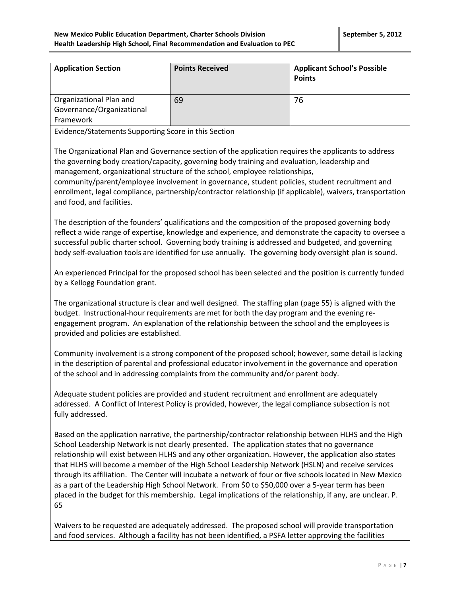| <b>Application Section</b>                                        | <b>Points Received</b> | <b>Applicant School's Possible</b><br><b>Points</b> |
|-------------------------------------------------------------------|------------------------|-----------------------------------------------------|
| Organizational Plan and<br>Governance/Organizational<br>Framework | 69                     | 76                                                  |

Evidence/Statements Supporting Score in this Section

The Organizational Plan and Governance section of the application requires the applicants to address the governing body creation/capacity, governing body training and evaluation, leadership and management, organizational structure of the school, employee relationships,

community/parent/employee involvement in governance, student policies, student recruitment and enrollment, legal compliance, partnership/contractor relationship (if applicable), waivers, transportation and food, and facilities.

The description of the founders' qualifications and the composition of the proposed governing body reflect a wide range of expertise, knowledge and experience, and demonstrate the capacity to oversee a successful public charter school. Governing body training is addressed and budgeted, and governing body self-evaluation tools are identified for use annually. The governing body oversight plan is sound.

An experienced Principal for the proposed school has been selected and the position is currently funded by a Kellogg Foundation grant.

The organizational structure is clear and well designed. The staffing plan (page 55) is aligned with the budget. Instructional-hour requirements are met for both the day program and the evening reengagement program. An explanation of the relationship between the school and the employees is provided and policies are established.

Community involvement is a strong component of the proposed school; however, some detail is lacking in the description of parental and professional educator involvement in the governance and operation of the school and in addressing complaints from the community and/or parent body.

Adequate student policies are provided and student recruitment and enrollment are adequately addressed. A Conflict of Interest Policy is provided, however, the legal compliance subsection is not fully addressed.

Based on the application narrative, the partnership/contractor relationship between HLHS and the High School Leadership Network is not clearly presented. The application states that no governance relationship will exist between HLHS and any other organization. However, the application also states that HLHS will become a member of the High School Leadership Network (HSLN) and receive services through its affiliation. The Center will incubate a network of four or five schools located in New Mexico as a part of the Leadership High School Network. From \$0 to \$50,000 over a 5-year term has been placed in the budget for this membership. Legal implications of the relationship, if any, are unclear. P. 65

Waivers to be requested are adequately addressed. The proposed school will provide transportation and food services. Although a facility has not been identified, a PSFA letter approving the facilities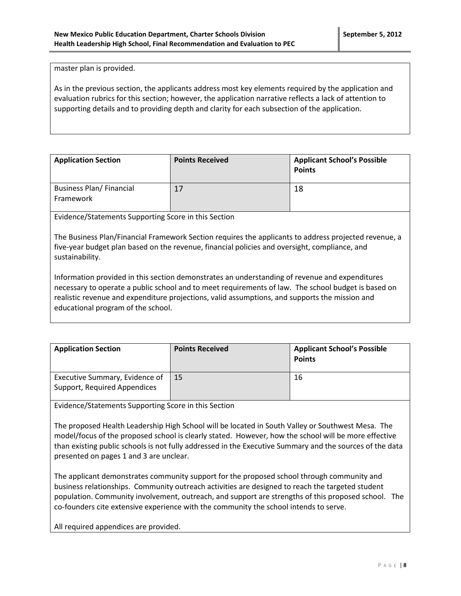master plan is provided.

As in the previous section, the applicants address most key elements required by the application and evaluation rubrics for this section; however, the application narrative reflects a lack of attention to supporting details and to providing depth and clarity for each subsection of the application.

| <b>Application Section</b>                  | <b>Points Received</b> | <b>Applicant School's Possible</b><br><b>Points</b> |
|---------------------------------------------|------------------------|-----------------------------------------------------|
| <b>Business Plan/Financial</b><br>Framework | 17                     | 18                                                  |

Evidence/Statements Supporting Score in this Section

The Business Plan/Financial Framework Section requires the applicants to address projected revenue, a five-year budget plan based on the revenue, financial policies and oversight, compliance, and sustainability.

Information provided in this section demonstrates an understanding of revenue and expenditures necessary to operate a public school and to meet requirements of law. The school budget is based on realistic revenue and expenditure projections, valid assumptions, and supports the mission and educational program of the school.

| <b>Application Section</b>                                     | <b>Points Received</b> | <b>Applicant School's Possible</b><br><b>Points</b> |
|----------------------------------------------------------------|------------------------|-----------------------------------------------------|
| Executive Summary, Evidence of<br>Support, Required Appendices | 15                     | 16                                                  |

Evidence/Statements Supporting Score in this Section

The proposed Health Leadership High School will be located in South Valley or Southwest Mesa. The model/focus of the proposed school is clearly stated. However, how the school will be more effective than existing public schools is not fully addressed in the Executive Summary and the sources of the data presented on pages 1 and 3 are unclear.

The applicant demonstrates community support for the proposed school through community and business relationships. Community outreach activities are designed to reach the targeted student population. Community involvement, outreach, and support are strengths of this proposed school. The co-founders cite extensive experience with the community the school intends to serve.

All required appendices are provided.